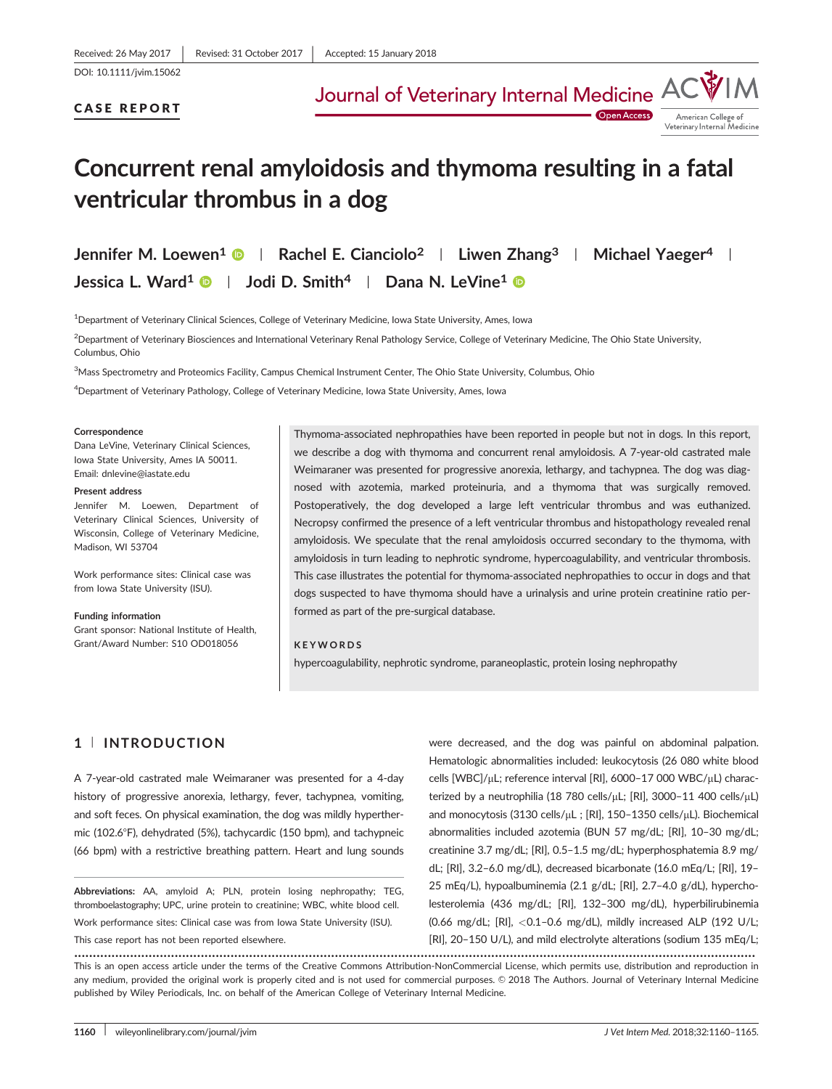DOI: 10.1111/jvim.15062

Journal of Veterinary Internal Medicine

CASE REPORT

**Open Access** American College of Veterinary Internal Medicine

# Concurrent renal amyloidosis and thymoma resulting in a fatal ventricular thrombus in a dog

Jennifer M. Loewen<sup>1</sup>  $\bullet$  | Rachel E. Cianciolo<sup>2</sup> | Liwen Zhang<sup>3</sup> | Michael Yaeger<sup>4</sup> | Jessica L. Ward<sup>1</sup>  $\bullet$  | Jodi D. Smith<sup>4</sup> | Dana N. LeVine<sup>1</sup>  $\bullet$ 

1 Department of Veterinary Clinical Sciences, College of Veterinary Medicine, Iowa State University, Ames, Iowa

2 Department of Veterinary Biosciences and International Veterinary Renal Pathology Service, College of Veterinary Medicine, The Ohio State University, Columbus, Ohio

<sup>3</sup>Mass Spectrometry and Proteomics Facility, Campus Chemical Instrument Center, The Ohio State University, Columbus, Ohio

4 Department of Veterinary Pathology, College of Veterinary Medicine, Iowa State University, Ames, Iowa

#### Correspondence

Dana LeVine, Veterinary Clinical Sciences, Iowa State University, Ames IA 50011. Email: dnlevine@iastate.edu

#### Present address

Jennifer M. Loewen, Department of Veterinary Clinical Sciences, University of Wisconsin, College of Veterinary Medicine, Madison, WI 53704

Work performance sites: Clinical case was from Iowa State University (ISU).

# Funding information

Grant sponsor: National Institute of Health, Grant/Award Number: S10 OD018056

Thymoma-associated nephropathies have been reported in people but not in dogs. In this report, we describe a dog with thymoma and concurrent renal amyloidosis. A 7-year-old castrated male Weimaraner was presented for progressive anorexia, lethargy, and tachypnea. The dog was diagnosed with azotemia, marked proteinuria, and a thymoma that was surgically removed. Postoperatively, the dog developed a large left ventricular thrombus and was euthanized. Necropsy confirmed the presence of a left ventricular thrombus and histopathology revealed renal amyloidosis. We speculate that the renal amyloidosis occurred secondary to the thymoma, with amyloidosis in turn leading to nephrotic syndrome, hypercoagulability, and ventricular thrombosis. This case illustrates the potential for thymoma-associated nephropathies to occur in dogs and that dogs suspected to have thymoma should have a urinalysis and urine protein creatinine ratio performed as part of the pre-surgical database.

### KEYWORDS

hypercoagulability, nephrotic syndrome, paraneoplastic, protein losing nephropathy

# 1 <sup>|</sup> INTRODUCTION

A 7-year-old castrated male Weimaraner was presented for a 4-day history of progressive anorexia, lethargy, fever, tachypnea, vomiting, and soft feces. On physical examination, the dog was mildly hyperthermic (102.6°F), dehydrated (5%), tachycardic (150 bpm), and tachypneic (66 bpm) with a restrictive breathing pattern. Heart and lung sounds

Abbreviations: AA, amyloid A; PLN, protein losing nephropathy; TEG, thromboelastography; UPC, urine protein to creatinine; WBC, white blood cell. Work performance sites: Clinical case was from Iowa State University (ISU).

This case report has not been reported elsewhere.

were decreased, and the dog was painful on abdominal palpation. Hematologic abnormalities included: leukocytosis (26 080 white blood cells [WBC]/µL; reference interval [RI], 6000-17 000 WBC/µL) characterized by a neutrophilia (18 780 cells/ $\mu$ L; [RI], 3000-11 400 cells/ $\mu$ L) and monocytosis (3130 cells/µL ; [RI], 150-1350 cells/µL). Biochemical abnormalities included azotemia (BUN 57 mg/dL; [RI], 10–30 mg/dL; creatinine 3.7 mg/dL; [RI], 0.5–1.5 mg/dL; hyperphosphatemia 8.9 mg/ dL; [RI], 3.2–6.0 mg/dL), decreased bicarbonate (16.0 mEq/L; [RI], 19– 25 mEq/L), hypoalbuminemia (2.1 g/dL; [RI], 2.7–4.0 g/dL), hypercholesterolemia (436 mg/dL; [RI], 132–300 mg/dL), hyperbilirubinemia (0.66 mg/dL; [RI], <0.1–0.6 mg/dL), mildly increased ALP (192 U/L; [RI], 20–150 U/L), and mild electrolyte alterations (sodium 135 mEq/L;

....................................................................................................................................................................................... This is an open access article under the terms of the [Creative Commons Attribution-NonCommercial](http://creativecommons.org/licenses/by-nc/4.0/) License, which permits use, distribution and reproduction in any medium, provided the original work is properly cited and is not used for commercial purposes. © 2018 The Authors. Journal of Veterinary Internal Medicine published by Wiley Periodicals, Inc. on behalf of the American College of Veterinary Internal Medicine.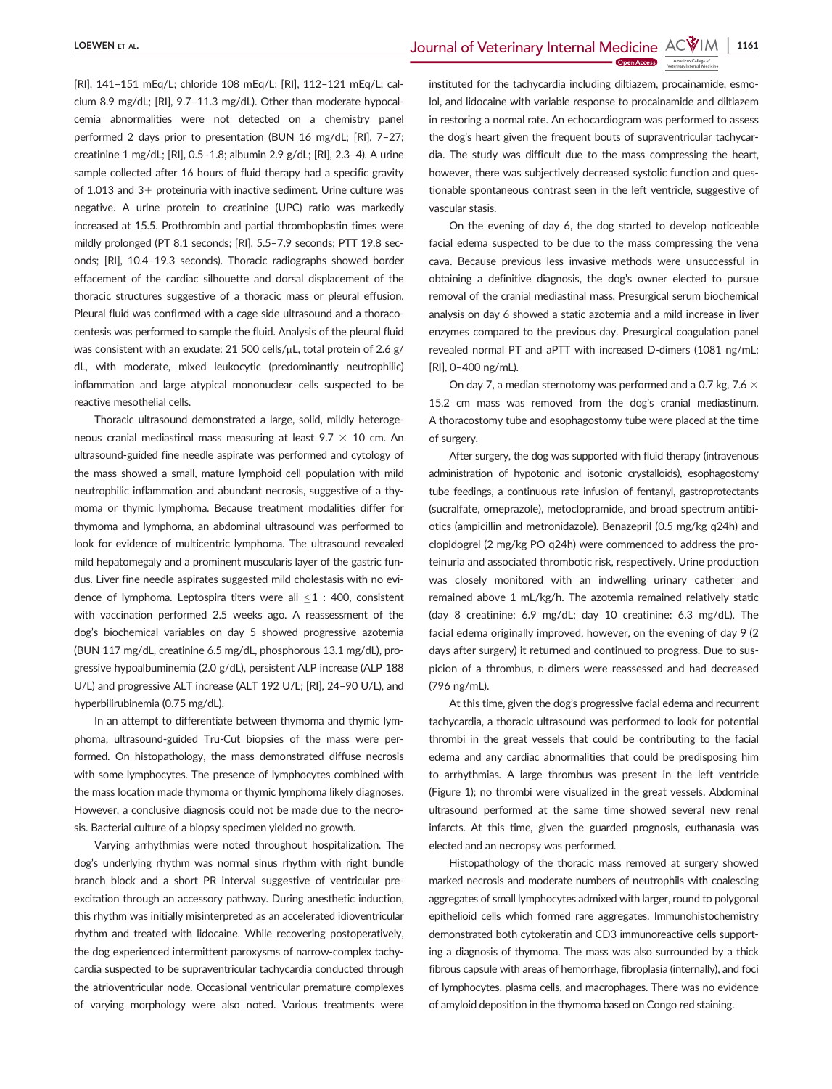[RI], 141–151 mEq/L; chloride 108 mEq/L; [RI], 112–121 mEq/L; calcium 8.9 mg/dL; [RI], 9.7–11.3 mg/dL). Other than moderate hypocalcemia abnormalities were not detected on a chemistry panel performed 2 days prior to presentation (BUN 16 mg/dL; [RI], 7–27; creatinine 1 mg/dL; [RI], 0.5–1.8; albumin 2.9 g/dL; [RI], 2.3–4). A urine sample collected after 16 hours of fluid therapy had a specific gravity of 1.013 and  $3+$  proteinuria with inactive sediment. Urine culture was negative. A urine protein to creatinine (UPC) ratio was markedly increased at 15.5. Prothrombin and partial thromboplastin times were mildly prolonged (PT 8.1 seconds; [RI], 5.5–7.9 seconds; PTT 19.8 seconds; [RI], 10.4–19.3 seconds). Thoracic radiographs showed border effacement of the cardiac silhouette and dorsal displacement of the thoracic structures suggestive of a thoracic mass or pleural effusion. Pleural fluid was confirmed with a cage side ultrasound and a thoracocentesis was performed to sample the fluid. Analysis of the pleural fluid was consistent with an exudate: 21 500 cells/ $\mu$ L, total protein of 2.6 g/ dL, with moderate, mixed leukocytic (predominantly neutrophilic) inflammation and large atypical mononuclear cells suspected to be reactive mesothelial cells.

Thoracic ultrasound demonstrated a large, solid, mildly heterogeneous cranial mediastinal mass measuring at least 9.7  $\times$  10 cm. An ultrasound-guided fine needle aspirate was performed and cytology of the mass showed a small, mature lymphoid cell population with mild neutrophilic inflammation and abundant necrosis, suggestive of a thymoma or thymic lymphoma. Because treatment modalities differ for thymoma and lymphoma, an abdominal ultrasound was performed to look for evidence of multicentric lymphoma. The ultrasound revealed mild hepatomegaly and a prominent muscularis layer of the gastric fundus. Liver fine needle aspirates suggested mild cholestasis with no evidence of lymphoma. Leptospira titers were all  $\leq$ 1 : 400, consistent with vaccination performed 2.5 weeks ago. A reassessment of the dog's biochemical variables on day 5 showed progressive azotemia (BUN 117 mg/dL, creatinine 6.5 mg/dL, phosphorous 13.1 mg/dL), progressive hypoalbuminemia (2.0 g/dL), persistent ALP increase (ALP 188 U/L) and progressive ALT increase (ALT 192 U/L; [RI], 24–90 U/L), and hyperbilirubinemia (0.75 mg/dL).

In an attempt to differentiate between thymoma and thymic lymphoma, ultrasound-guided Tru-Cut biopsies of the mass were performed. On histopathology, the mass demonstrated diffuse necrosis with some lymphocytes. The presence of lymphocytes combined with the mass location made thymoma or thymic lymphoma likely diagnoses. However, a conclusive diagnosis could not be made due to the necrosis. Bacterial culture of a biopsy specimen yielded no growth.

Varying arrhythmias were noted throughout hospitalization. The dog's underlying rhythm was normal sinus rhythm with right bundle branch block and a short PR interval suggestive of ventricular preexcitation through an accessory pathway. During anesthetic induction, this rhythm was initially misinterpreted as an accelerated idioventricular rhythm and treated with lidocaine. While recovering postoperatively, the dog experienced intermittent paroxysms of narrow-complex tachycardia suspected to be supraventricular tachycardia conducted through the atrioventricular node. Occasional ventricular premature complexes of varying morphology were also noted. Various treatments were

instituted for the tachycardia including diltiazem, procainamide, esmolol, and lidocaine with variable response to procainamide and diltiazem in restoring a normal rate. An echocardiogram was performed to assess the dog's heart given the frequent bouts of supraventricular tachycardia. The study was difficult due to the mass compressing the heart, however, there was subjectively decreased systolic function and questionable spontaneous contrast seen in the left ventricle, suggestive of vascular stasis.

On the evening of day 6, the dog started to develop noticeable facial edema suspected to be due to the mass compressing the vena cava. Because previous less invasive methods were unsuccessful in obtaining a definitive diagnosis, the dog's owner elected to pursue removal of the cranial mediastinal mass. Presurgical serum biochemical analysis on day 6 showed a static azotemia and a mild increase in liver enzymes compared to the previous day. Presurgical coagulation panel revealed normal PT and aPTT with increased D-dimers (1081 ng/mL; [RI], 0–400 ng/mL).

On day 7, a median sternotomy was performed and a 0.7 kg, 7.6  $\times$ 15.2 cm mass was removed from the dog's cranial mediastinum. A thoracostomy tube and esophagostomy tube were placed at the time of surgery.

After surgery, the dog was supported with fluid therapy (intravenous administration of hypotonic and isotonic crystalloids), esophagostomy tube feedings, a continuous rate infusion of fentanyl, gastroprotectants (sucralfate, omeprazole), metoclopramide, and broad spectrum antibiotics (ampicillin and metronidazole). Benazepril (0.5 mg/kg q24h) and clopidogrel (2 mg/kg PO q24h) were commenced to address the proteinuria and associated thrombotic risk, respectively. Urine production was closely monitored with an indwelling urinary catheter and remained above 1 mL/kg/h. The azotemia remained relatively static (day 8 creatinine: 6.9 mg/dL; day 10 creatinine: 6.3 mg/dL). The facial edema originally improved, however, on the evening of day 9 (2 days after surgery) it returned and continued to progress. Due to suspicion of a thrombus, D-dimers were reassessed and had decreased (796 ng/mL).

At this time, given the dog's progressive facial edema and recurrent tachycardia, a thoracic ultrasound was performed to look for potential thrombi in the great vessels that could be contributing to the facial edema and any cardiac abnormalities that could be predisposing him to arrhythmias. A large thrombus was present in the left ventricle (Figure 1); no thrombi were visualized in the great vessels. Abdominal ultrasound performed at the same time showed several new renal infarcts. At this time, given the guarded prognosis, euthanasia was elected and an necropsy was performed.

Histopathology of the thoracic mass removed at surgery showed marked necrosis and moderate numbers of neutrophils with coalescing aggregates of small lymphocytes admixed with larger, round to polygonal epithelioid cells which formed rare aggregates. Immunohistochemistry demonstrated both cytokeratin and CD3 immunoreactive cells supporting a diagnosis of thymoma. The mass was also surrounded by a thick fibrous capsule with areas of hemorrhage, fibroplasia (internally), and foci of lymphocytes, plasma cells, and macrophages. There was no evidence of amyloid deposition in the thymoma based on Congo red staining.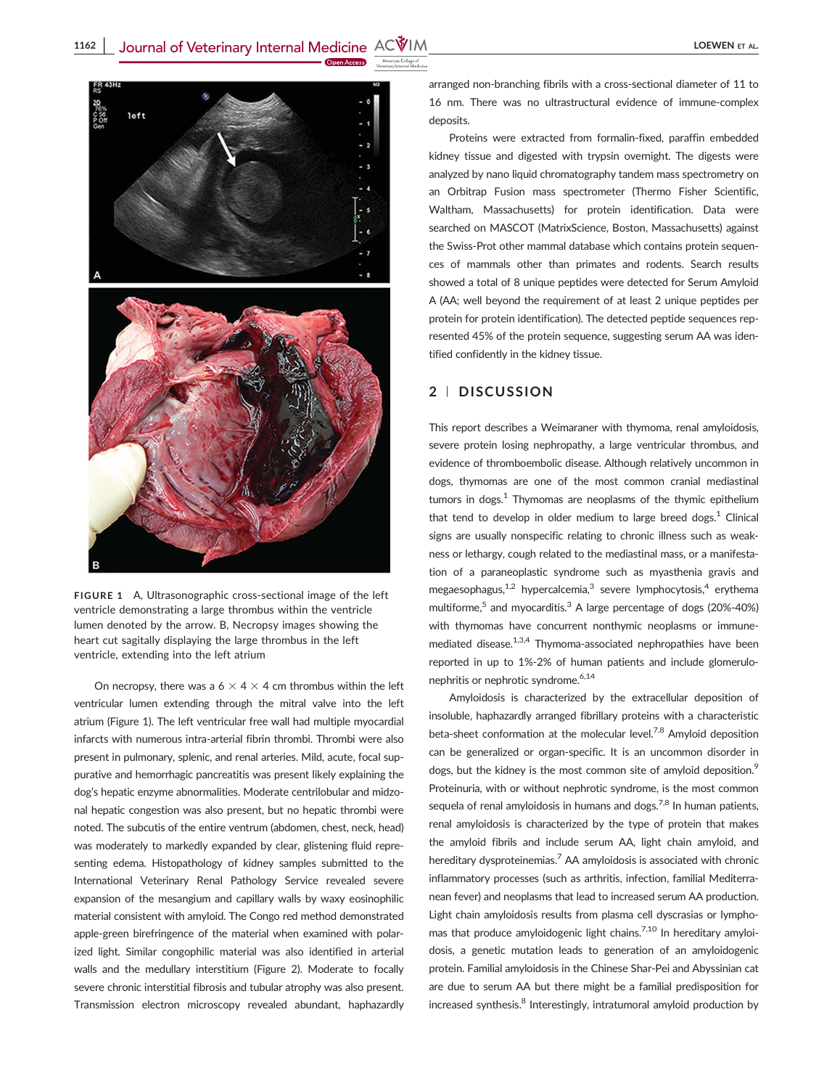

FIGURE 1 A, Ultrasonographic cross-sectional image of the left ventricle demonstrating a large thrombus within the ventricle lumen denoted by the arrow. B, Necropsy images showing the heart cut sagitally displaying the large thrombus in the left ventricle, extending into the left atrium

On necropsy, there was a  $6 \times 4 \times 4$  cm thrombus within the left ventricular lumen extending through the mitral valve into the left atrium (Figure 1). The left ventricular free wall had multiple myocardial infarcts with numerous intra-arterial fibrin thrombi. Thrombi were also present in pulmonary, splenic, and renal arteries. Mild, acute, focal suppurative and hemorrhagic pancreatitis was present likely explaining the dog's hepatic enzyme abnormalities. Moderate centrilobular and midzonal hepatic congestion was also present, but no hepatic thrombi were noted. The subcutis of the entire ventrum (abdomen, chest, neck, head) was moderately to markedly expanded by clear, glistening fluid representing edema. Histopathology of kidney samples submitted to the International Veterinary Renal Pathology Service revealed severe expansion of the mesangium and capillary walls by waxy eosinophilic material consistent with amyloid. The Congo red method demonstrated apple-green birefringence of the material when examined with polarized light. Similar congophilic material was also identified in arterial walls and the medullary interstitium (Figure 2). Moderate to focally severe chronic interstitial fibrosis and tubular atrophy was also present. Transmission electron microscopy revealed abundant, haphazardly arranged non-branching fibrils with a cross-sectional diameter of 11 to 16 nm. There was no ultrastructural evidence of immune-complex deposits.

Proteins were extracted from formalin-fixed, paraffin embedded kidney tissue and digested with trypsin overnight. The digests were analyzed by nano liquid chromatography tandem mass spectrometry on an Orbitrap Fusion mass spectrometer (Thermo Fisher Scientific, Waltham, Massachusetts) for protein identification. Data were searched on MASCOT (MatrixScience, Boston, Massachusetts) against the Swiss-Prot other mammal database which contains protein sequences of mammals other than primates and rodents. Search results showed a total of 8 unique peptides were detected for Serum Amyloid A (AA; well beyond the requirement of at least 2 unique peptides per protein for protein identification). The detected peptide sequences represented 45% of the protein sequence, suggesting serum AA was identified confidently in the kidney tissue.

## 2 <sup>|</sup> DISCUSSION

This report describes a Weimaraner with thymoma, renal amyloidosis, severe protein losing nephropathy, a large ventricular thrombus, and evidence of thromboembolic disease. Although relatively uncommon in dogs, thymomas are one of the most common cranial mediastinal tumors in dogs. $1$  Thymomas are neoplasms of the thymic epithelium that tend to develop in older medium to large breed dogs. $<sup>1</sup>$  Clinical</sup> signs are usually nonspecific relating to chronic illness such as weakness or lethargy, cough related to the mediastinal mass, or a manifestation of a paraneoplastic syndrome such as myasthenia gravis and megaesophagus, $1/2$  hypercalcemia,<sup>3</sup> severe lymphocytosis,<sup>4</sup> erythema multiforme,<sup>5</sup> and myocarditis.<sup>3</sup> A large percentage of dogs (20%-40%) with thymomas have concurrent nonthymic neoplasms or immunemediated disease.<sup>1,3,4</sup> Thymoma-associated nephropathies have been reported in up to 1%-2% of human patients and include glomerulonephritis or nephrotic syndrome.<sup>6,14</sup>

Amyloidosis is characterized by the extracellular deposition of insoluble, haphazardly arranged fibrillary proteins with a characteristic beta-sheet conformation at the molecular level.<sup>7,8</sup> Amyloid deposition can be generalized or organ-specific. It is an uncommon disorder in dogs, but the kidney is the most common site of amyloid deposition.<sup>9</sup> Proteinuria, with or without nephrotic syndrome, is the most common sequela of renal amyloidosis in humans and dogs.<sup>7,8</sup> In human patients, renal amyloidosis is characterized by the type of protein that makes the amyloid fibrils and include serum AA, light chain amyloid, and hereditary dysproteinemias.<sup>7</sup> AA amyloidosis is associated with chronic inflammatory processes (such as arthritis, infection, familial Mediterranean fever) and neoplasms that lead to increased serum AA production. Light chain amyloidosis results from plasma cell dyscrasias or lymphomas that produce amyloidogenic light chains.<sup>7,10</sup> In hereditary amyloidosis, a genetic mutation leads to generation of an amyloidogenic protein. Familial amyloidosis in the Chinese Shar-Pei and Abyssinian cat are due to serum AA but there might be a familial predisposition for increased synthesis. $8$  Interestingly, intratumoral amyloid production by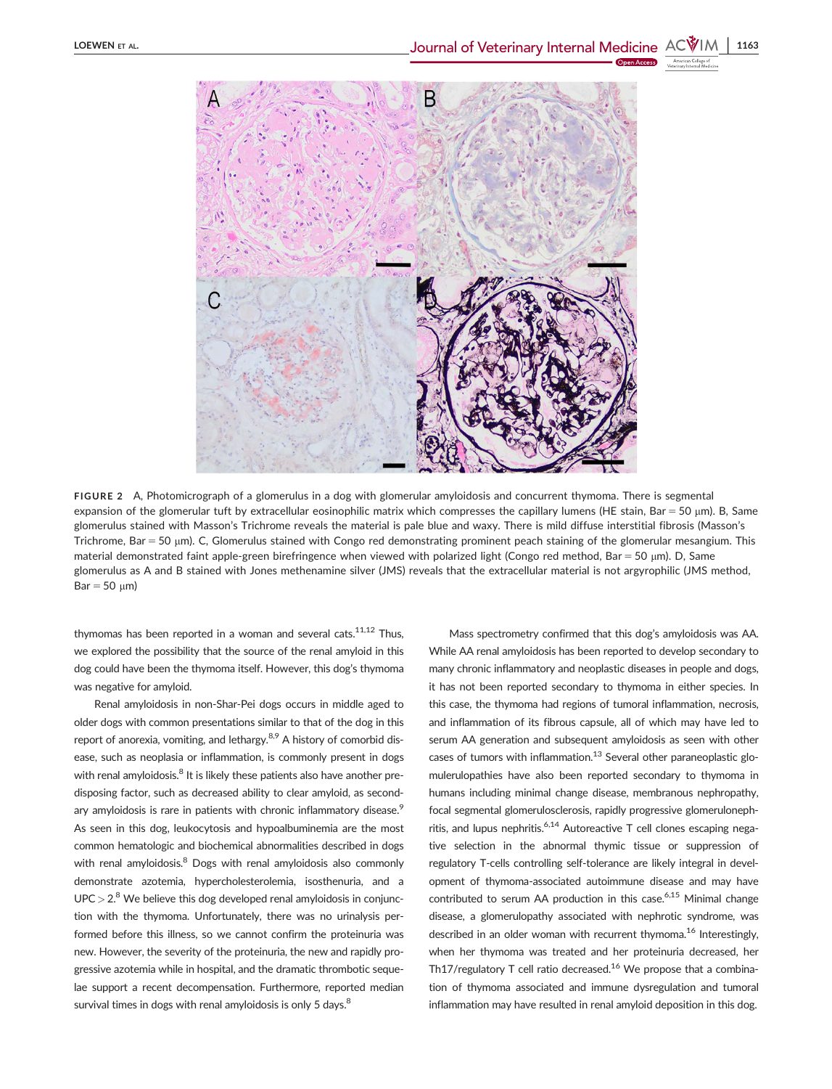

FIGURE 2 A, Photomicrograph of a glomerulus in a dog with glomerular amyloidosis and concurrent thymoma. There is segmental expansion of the glomerular tuft by extracellular eosinophilic matrix which compresses the capillary lumens (HE stain, Bar = 50  $\mu$ m). B, Same glomerulus stained with Masson's Trichrome reveals the material is pale blue and waxy. There is mild diffuse interstitial fibrosis (Masson's Trichrome, Bar = 50 µm). C, Glomerulus stained with Congo red demonstrating prominent peach staining of the glomerular mesangium. This material demonstrated faint apple-green birefringence when viewed with polarized light (Congo red method, Bar = 50  $\mu$ m). D, Same glomerulus as A and B stained with Jones methenamine silver (JMS) reveals that the extracellular material is not argyrophilic (JMS method,  $Bar = 50 \mu m$ )

thymomas has been reported in a woman and several cats.<sup>11,12</sup> Thus, we explored the possibility that the source of the renal amyloid in this dog could have been the thymoma itself. However, this dog's thymoma was negative for amyloid.

Renal amyloidosis in non-Shar-Pei dogs occurs in middle aged to older dogs with common presentations similar to that of the dog in this report of anorexia, vomiting, and lethargy. $8.9$  A history of comorbid disease, such as neoplasia or inflammation, is commonly present in dogs with renal amyloidosis.<sup>8</sup> It is likely these patients also have another predisposing factor, such as decreased ability to clear amyloid, as secondary amyloidosis is rare in patients with chronic inflammatory disease.<sup>9</sup> As seen in this dog, leukocytosis and hypoalbuminemia are the most common hematologic and biochemical abnormalities described in dogs with renal amyloidosis.<sup>8</sup> Dogs with renal amyloidosis also commonly demonstrate azotemia, hypercholesterolemia, isosthenuria, and a  $UPC > 2.8$  We believe this dog developed renal amyloidosis in conjunction with the thymoma. Unfortunately, there was no urinalysis performed before this illness, so we cannot confirm the proteinuria was new. However, the severity of the proteinuria, the new and rapidly progressive azotemia while in hospital, and the dramatic thrombotic sequelae support a recent decompensation. Furthermore, reported median survival times in dogs with renal amyloidosis is only 5 days.<sup>8</sup>

Mass spectrometry confirmed that this dog's amyloidosis was AA. While AA renal amyloidosis has been reported to develop secondary to many chronic inflammatory and neoplastic diseases in people and dogs, it has not been reported secondary to thymoma in either species. In this case, the thymoma had regions of tumoral inflammation, necrosis, and inflammation of its fibrous capsule, all of which may have led to serum AA generation and subsequent amyloidosis as seen with other cases of tumors with inflammation. $13$  Several other paraneoplastic glomulerulopathies have also been reported secondary to thymoma in humans including minimal change disease, membranous nephropathy, focal segmental glomerulosclerosis, rapidly progressive glomerulonephritis, and lupus nephritis.<sup>6,14</sup> Autoreactive T cell clones escaping negative selection in the abnormal thymic tissue or suppression of regulatory T-cells controlling self-tolerance are likely integral in development of thymoma-associated autoimmune disease and may have contributed to serum AA production in this case. $6.15$  Minimal change disease, a glomerulopathy associated with nephrotic syndrome, was described in an older woman with recurrent thymoma.<sup>16</sup> Interestingly, when her thymoma was treated and her proteinuria decreased, her Th17/regulatory T cell ratio decreased.<sup>16</sup> We propose that a combination of thymoma associated and immune dysregulation and tumoral inflammation may have resulted in renal amyloid deposition in this dog.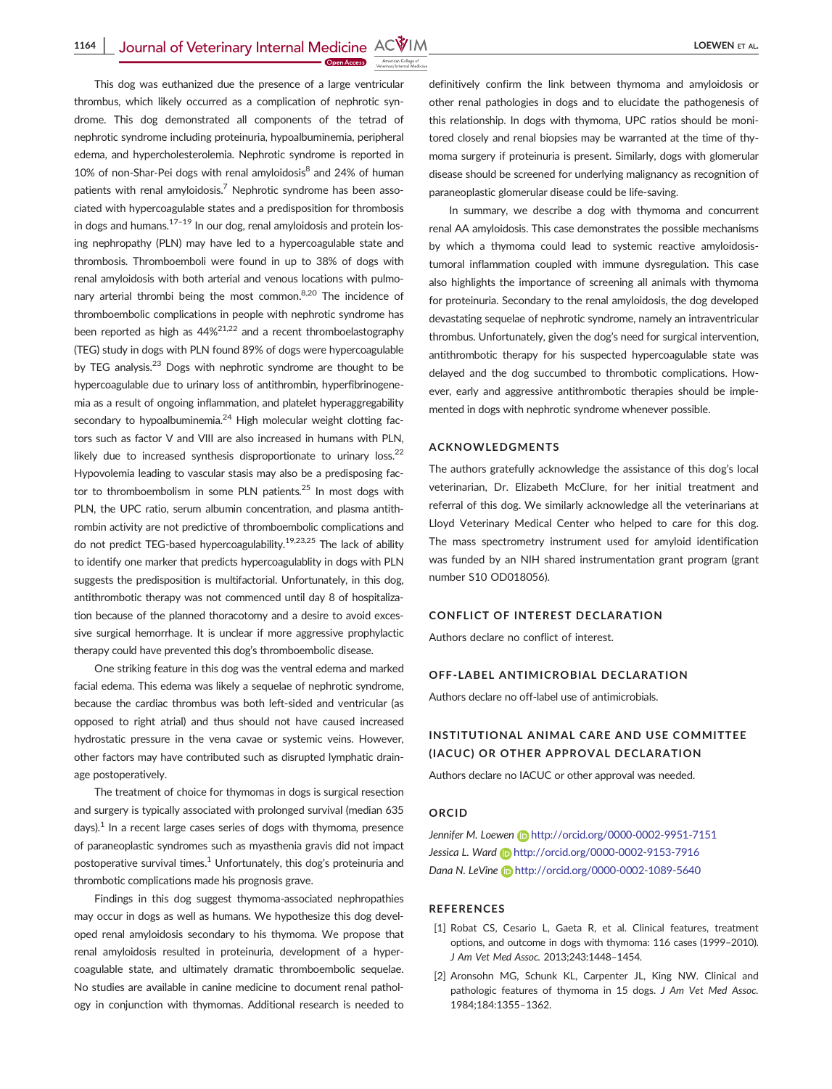This dog was euthanized due the presence of a large ventricular thrombus, which likely occurred as a complication of nephrotic syndrome. This dog demonstrated all components of the tetrad of nephrotic syndrome including proteinuria, hypoalbuminemia, peripheral edema, and hypercholesterolemia. Nephrotic syndrome is reported in 10% of non-Shar-Pei dogs with renal amyloidosis $^8$  and 24% of human patients with renal amyloidosis.<sup>7</sup> Nephrotic syndrome has been associated with hypercoagulable states and a predisposition for thrombosis in dogs and humans. $17-19$  In our dog, renal amyloidosis and protein losing nephropathy (PLN) may have led to a hypercoagulable state and thrombosis. Thromboemboli were found in up to 38% of dogs with renal amyloidosis with both arterial and venous locations with pulmonary arterial thrombi being the most common.<sup>8,20</sup> The incidence of thromboembolic complications in people with nephrotic syndrome has been reported as high as 44%21,22 and a recent thromboelastography (TEG) study in dogs with PLN found 89% of dogs were hypercoagulable by TEG analysis. $^{23}$  Dogs with nephrotic syndrome are thought to be hypercoagulable due to urinary loss of antithrombin, hyperfibrinogenemia as a result of ongoing inflammation, and platelet hyperaggregability secondary to hypoalbuminemia. $^{24}$  High molecular weight clotting factors such as factor V and VIII are also increased in humans with PLN, likely due to increased synthesis disproportionate to urinary loss.<sup>22</sup> Hypovolemia leading to vascular stasis may also be a predisposing factor to thromboembolism in some PLN patients.<sup>25</sup> In most dogs with PLN, the UPC ratio, serum albumin concentration, and plasma antithrombin activity are not predictive of thromboembolic complications and do not predict TEG-based hypercoagulability.<sup>19,23,25</sup> The lack of ability to identify one marker that predicts hypercoagulablity in dogs with PLN suggests the predisposition is multifactorial. Unfortunately, in this dog, antithrombotic therapy was not commenced until day 8 of hospitalization because of the planned thoracotomy and a desire to avoid excessive surgical hemorrhage. It is unclear if more aggressive prophylactic therapy could have prevented this dog's thromboembolic disease.

One striking feature in this dog was the ventral edema and marked facial edema. This edema was likely a sequelae of nephrotic syndrome, because the cardiac thrombus was both left-sided and ventricular (as opposed to right atrial) and thus should not have caused increased hydrostatic pressure in the vena cavae or systemic veins. However, other factors may have contributed such as disrupted lymphatic drainage postoperatively.

The treatment of choice for thymomas in dogs is surgical resection and surgery is typically associated with prolonged survival (median 635 days). $<sup>1</sup>$  In a recent large cases series of dogs with thymoma, presence</sup> of paraneoplastic syndromes such as myasthenia gravis did not impact postoperative survival times.<sup>1</sup> Unfortunately, this dog's proteinuria and thrombotic complications made his prognosis grave.

Findings in this dog suggest thymoma-associated nephropathies may occur in dogs as well as humans. We hypothesize this dog developed renal amyloidosis secondary to his thymoma. We propose that renal amyloidosis resulted in proteinuria, development of a hypercoagulable state, and ultimately dramatic thromboembolic sequelae. No studies are available in canine medicine to document renal pathology in conjunction with thymomas. Additional research is needed to

definitively confirm the link between thymoma and amyloidosis or other renal pathologies in dogs and to elucidate the pathogenesis of this relationship. In dogs with thymoma, UPC ratios should be monitored closely and renal biopsies may be warranted at the time of thymoma surgery if proteinuria is present. Similarly, dogs with glomerular disease should be screened for underlying malignancy as recognition of paraneoplastic glomerular disease could be life-saving.

In summary, we describe a dog with thymoma and concurrent renal AA amyloidosis. This case demonstrates the possible mechanisms by which a thymoma could lead to systemic reactive amyloidosistumoral inflammation coupled with immune dysregulation. This case also highlights the importance of screening all animals with thymoma for proteinuria. Secondary to the renal amyloidosis, the dog developed devastating sequelae of nephrotic syndrome, namely an intraventricular thrombus. Unfortunately, given the dog's need for surgical intervention, antithrombotic therapy for his suspected hypercoagulable state was delayed and the dog succumbed to thrombotic complications. However, early and aggressive antithrombotic therapies should be implemented in dogs with nephrotic syndrome whenever possible.

# ACKNOWLEDGMENTS

The authors gratefully acknowledge the assistance of this dog's local veterinarian, Dr. Elizabeth McClure, for her initial treatment and referral of this dog. We similarly acknowledge all the veterinarians at Lloyd Veterinary Medical Center who helped to care for this dog. The mass spectrometry instrument used for amyloid identification was funded by an NIH shared instrumentation grant program (grant number S10 OD018056).

#### CONFLICT OF INTEREST DECLARATION

Authors declare no conflict of interest.

## OFF-LABEL ANTIMICROBIAL DECLARATION

Authors declare no off-label use of antimicrobials.

# INSTITUTIONAL ANIMAL CARE AND USE COMMITTEE (IACUC) OR OTHER APPROVAL DECLARATION

Authors declare no IACUC or other approval was needed.

#### ORCID

Jennifer M. Loewen b <http://orcid.org/0000-0002-9951-7151> Jessica L. Ward **b** <http://orcid.org/0000-0002-9153-7916> Dana N. LeVine **b** <http://orcid.org/0000-0002-1089-5640>

#### REFERENCES

- [1] Robat CS, Cesario L, Gaeta R, et al. Clinical features, treatment options, and outcome in dogs with thymoma: 116 cases (1999–2010). J Am Vet Med Assoc. 2013;243:1448–1454.
- [2] Aronsohn MG, Schunk KL, Carpenter JL, King NW. Clinical and pathologic features of thymoma in 15 dogs. J Am Vet Med Assoc. 1984;184:1355–1362.